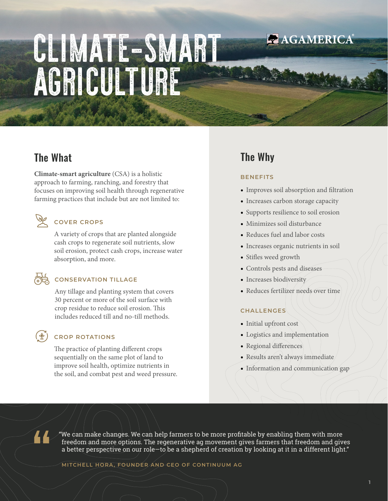# CLIMATE-SMART AGRICULTURE

# The What

**Climate-smart agriculture** (CSA) is a holistic approach to farming, ranching, and forestry that focuses on improving soil health through regenerative farming practices that include but are not limited to:

## **COVER CROPS**

A variety of crops that are planted alongside cash crops to regenerate soil nutrients, slow soil erosion, protect cash crops, increase water absorption, and more.

## **CONSERVATION TILLAGE**

Any tillage and planting system that covers 30 percent or more of the soil surface with crop residue to reduce soil erosion. This includes reduced till and no-till methods.

### **CROP ROTATIONS**

The practice of planting different crops sequentially on the same plot of land to improve soil health, optimize nutrients in the soil, and combat pest and weed pressure.

# The Why

#### **BENEFITS**

• Improves soil absorption and filtration

**ZAGAMERICA** 

- Increases carbon storage capacity
- Supports resilience to soil erosion
- Minimizes soil disturbance
- Reduces fuel and labor costs
- Increases organic nutrients in soil
- Stifles weed growth
- Controls pests and diseases
- Increases biodiversity
- Reduces fertilizer needs over time

#### **CHALLENGES**

- Initial upfront cost
- Logistics and implementation
- Regional differences
- Results aren't always immediate
- Information and communication gap

44

"We can make changes. We can help farmers to be more profitable by enabling them with more freedom and more options. The regenerative ag movement gives farmers that freedom and gives a better perspective on our role—to be a shepherd of creation by looking at it in a different light."

**MITCHELL HORA, FOUNDER AND CEO OF CONTINUUM AG**